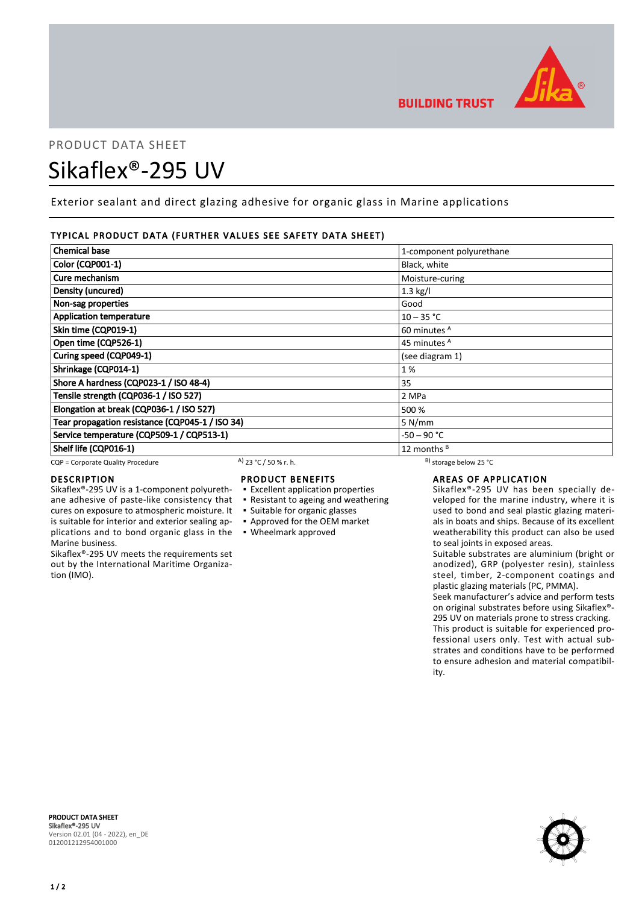

# PRODUCT DATA SHEET Sikaflex®-295 UV

Exterior sealant and direct glazing adhesive for organic glass in Marine applications

#### TYPICAL PRODUCT DATA (FURTHER VALUES SEE SAFETY DATA SHEET)

| <b>Chemical base</b>                            | 1-component polyurethane |
|-------------------------------------------------|--------------------------|
| Color (CQP001-1)                                | Black, white             |
| Cure mechanism                                  | Moisture-curing          |
| Density (uncured)                               | $1.3$ kg/l               |
| Non-sag properties                              | Good                     |
| <b>Application temperature</b>                  | $10 - 35 °C$             |
| Skin time (CQP019-1)                            | 60 minutes <sup>A</sup>  |
| Open time (CQP526-1)                            | 45 minutes <sup>A</sup>  |
| Curing speed (CQP049-1)                         | (see diagram 1)          |
| Shrinkage (CQP014-1)                            | 1%                       |
| Shore A hardness (CQP023-1 / ISO 48-4)          | 35                       |
| Tensile strength (CQP036-1 / ISO 527)           | 2 MPa                    |
| Elongation at break (CQP036-1 / ISO 527)        | 500 %                    |
| Tear propagation resistance (CQP045-1 / ISO 34) | 5 N/mm                   |
| Service temperature (CQP509-1 / CQP513-1)       | $-50 - 90 °C$            |
| Shelf life (CQP016-1)                           | 12 months <sup>B</sup>   |

CQP = Corporate Quality Procedure A)  $23 °C / 50 %$  r. h. B) storage below 25 °C

#### DESCRIPTION

Sikaflex®-295 UV is a 1-component polyurethane adhesive of paste-like consistency that cures on exposure to atmospheric moisture. It is suitable for interior and exterior sealing applications and to bond organic glass in the ▪ Wheelmark approved Marine business.

Sikaflex®-295 UV meets the requirements set out by the International Maritime Organization (IMO).

### PRODUCT BENEFITS

- Excellent application properties
- Resistant to ageing and weathering
- Suitable for organic glasses
- Approved for the OEM market
- 

### AREAS OF APPLICATION

Sikaflex®-295 UV has been specially developed for the marine industry, where it is used to bond and seal plastic glazing materials in boats and ships. Because of its excellent weatherability this product can also be used to seal joints in exposed areas.

Suitable substrates are aluminium (bright or anodized), GRP (polyester resin), stainless steel, timber, 2-component coatings and plastic glazing materials (PC, PMMA).

Seek manufacturer's advice and perform tests on original substrates before using Sikaflex®- 295 UV on materials prone to stress cracking. This product is suitable for experienced professional users only. Test with actual substrates and conditions have to be performed to ensure adhesion and material compatibility.



PRODUCT DATA SHEET Sikaflex®-295 UV Version 02.01 (04 - 2022), en\_DE 012001212954001000